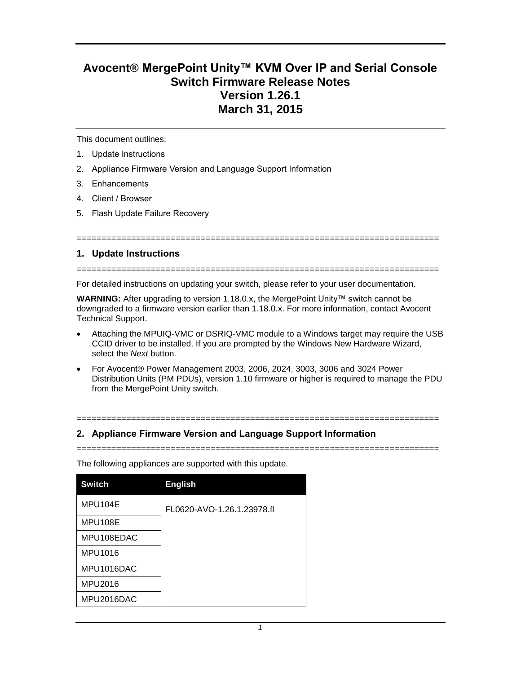# **Avocent® MergePoint Unity™ KVM Over IP and Serial Console Switch Firmware Release Notes Version 1.26.1 March 31, 2015**

This document outlines:

- 1. Update Instructions
- 2. Appliance Firmware Version and Language Support Information
- 3. Enhancements
- 4. Client / Browser
- 5. Flash Update Failure Recovery

### **1. Update Instructions**

=========================================================================

=========================================================================

For detailed instructions on updating your switch, please refer to your user documentation.

**WARNING:** After upgrading to version 1.18.0.x, the MergePoint Unity™ switch cannot be downgraded to a firmware version earlier than 1.18.0.x. For more information, contact Avocent Technical Support.

- Attaching the MPUIQ-VMC or DSRIQ-VMC module to a Windows target may require the USB CCID driver to be installed. If you are prompted by the Windows New Hardware Wizard, select the *Next* button.
- For Avocent® Power Management 2003, 2006, 2024, 3003, 3006 and 3024 Power Distribution Units (PM PDUs), version 1.10 firmware or higher is required to manage the PDU from the MergePoint Unity switch.

=========================================================================

=========================================================================

## **2. Appliance Firmware Version and Language Support Information**

The following appliances are supported with this update.

| <b>Switch</b> | <b>English</b>             |
|---------------|----------------------------|
| MPU104E       | FL0620-AVO-1.26.1.23978.fl |
| MPU108E       |                            |
| MPU108EDAC    |                            |
| MPU1016       |                            |
| MPU1016DAC    |                            |
| MPU2016       |                            |
| MPU2016DAC    |                            |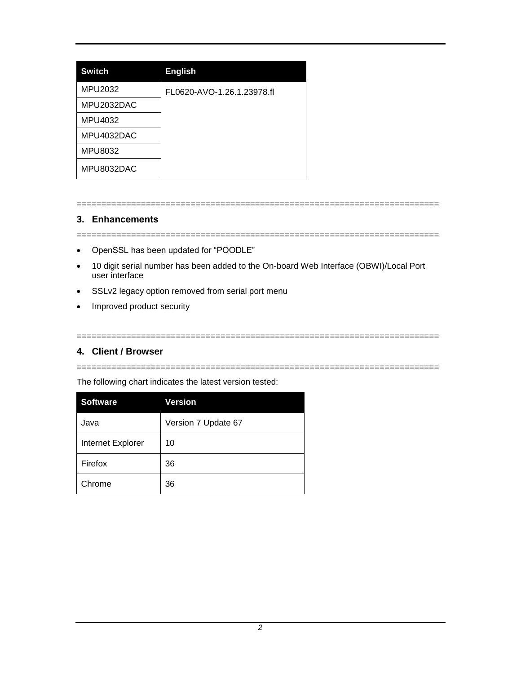| <b>Switch</b> | <b>English</b>             |
|---------------|----------------------------|
| MPU2032       | FL0620-AVO-1.26.1.23978.fl |
| MPU2032DAC    |                            |
| MPU4032       |                            |
| MPU4032DAC    |                            |
| MPU8032       |                            |
| MPU8032DAC    |                            |

# **3. Enhancements**

=========================================================================

=========================================================================

- OpenSSL has been updated for "POODLE"
- 10 digit serial number has been added to the On-board Web Interface (OBWI)/Local Port user interface
- SSLv2 legacy option removed from serial port menu
- Improved product security

## **4. Client / Browser**

=========================================================================

=========================================================================

The following chart indicates the latest version tested:

| <b>Software</b>   | <b>Version</b>      |
|-------------------|---------------------|
| Java              | Version 7 Update 67 |
| Internet Explorer | 10                  |
| Firefox           | 36                  |
| Chrome            | 36                  |